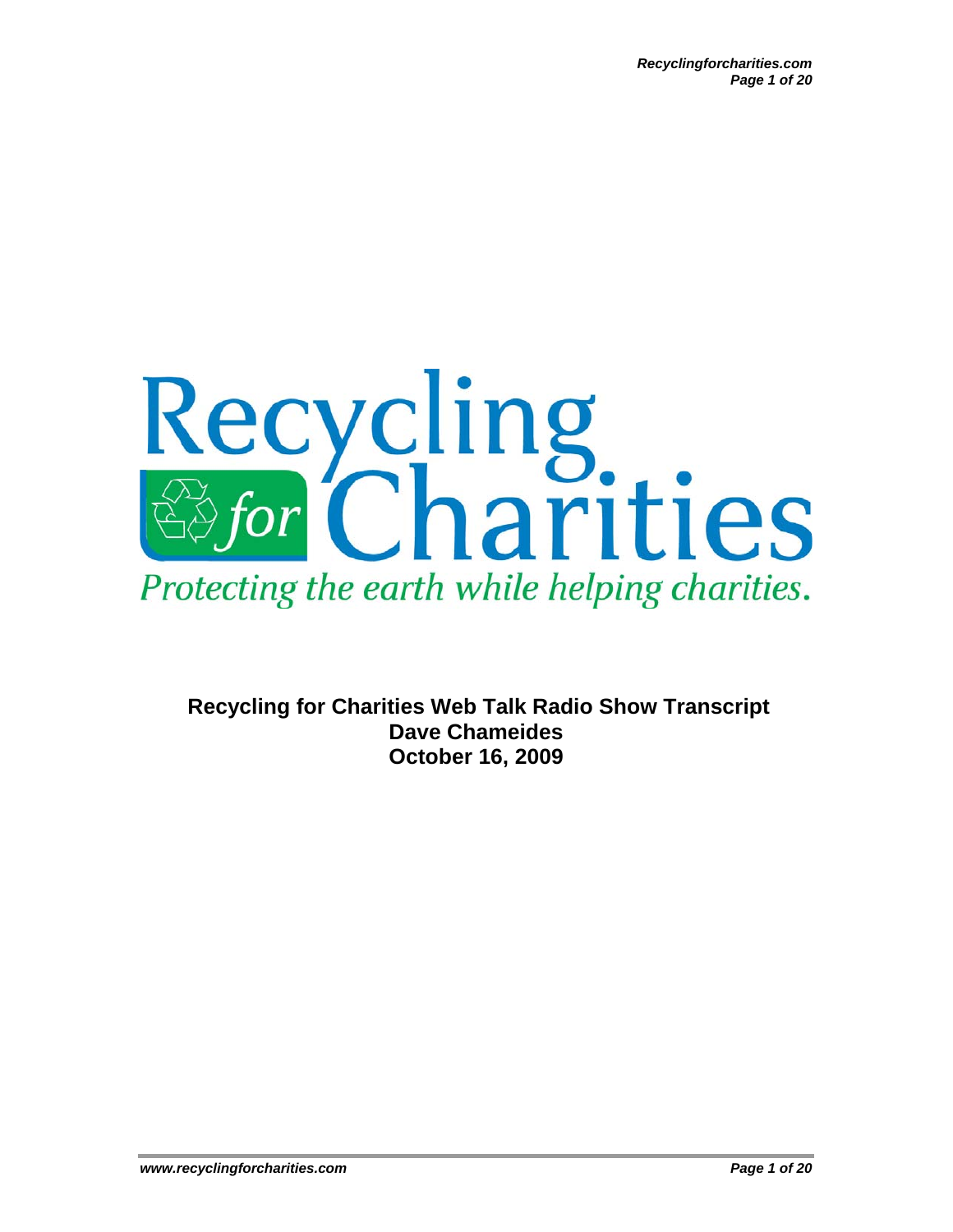

**Recycling for Charities Web Talk Radio Show Transcript Dave Chameides October 16, 2009**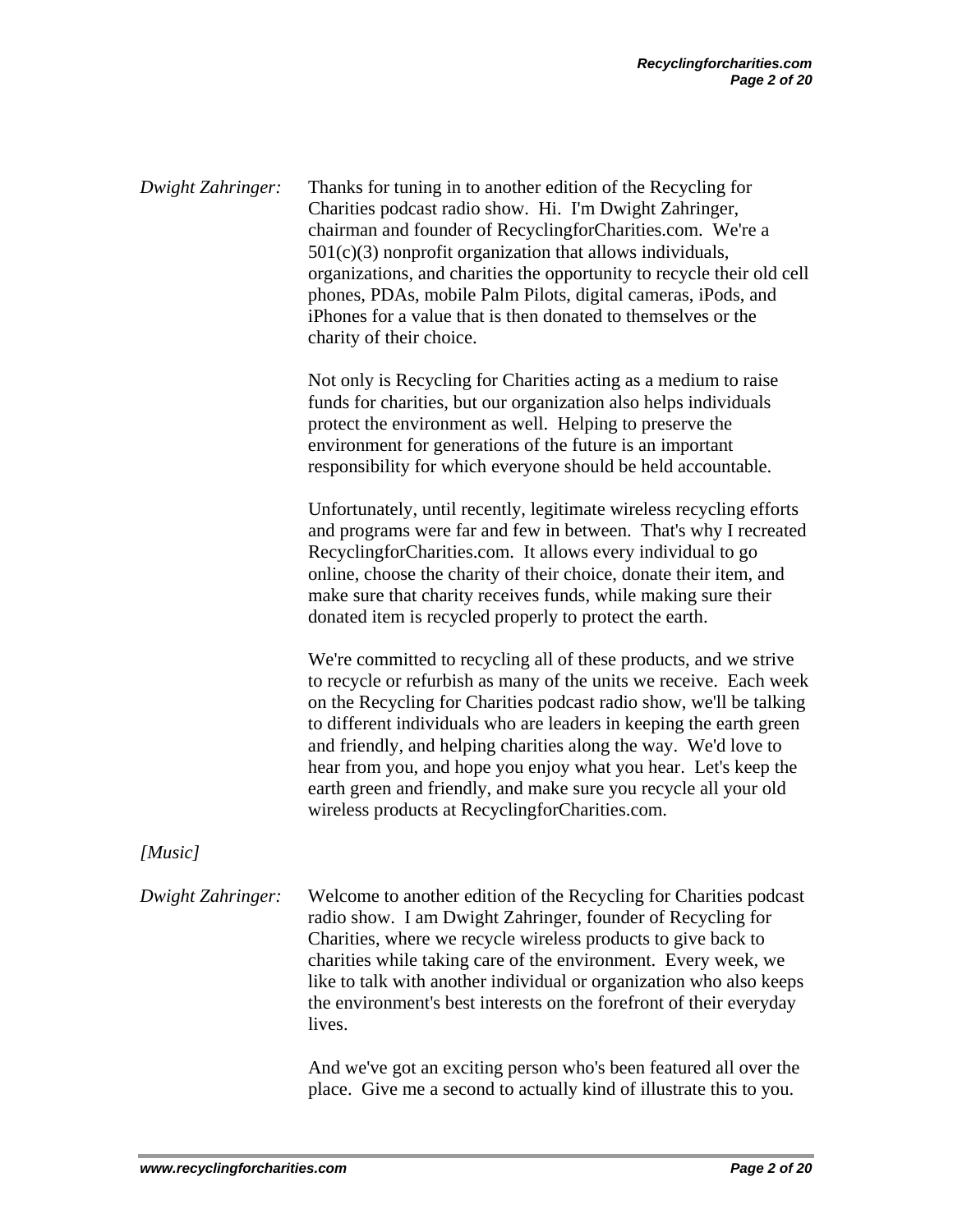*Dwight Zahringer:* Thanks for tuning in to another edition of the Recycling for Charities podcast radio show. Hi. I'm Dwight Zahringer, chairman and founder of RecyclingforCharities.com. We're a  $501(c)(3)$  nonprofit organization that allows individuals, organizations, and charities the opportunity to recycle their old cell phones, PDAs, mobile Palm Pilots, digital cameras, iPods, and iPhones for a value that is then donated to themselves or the charity of their choice. Not only is Recycling for Charities acting as a medium to raise funds for charities, but our organization also helps individuals protect the environment as well. Helping to preserve the environment for generations of the future is an important responsibility for which everyone should be held accountable. Unfortunately, until recently, legitimate wireless recycling efforts and programs were far and few in between. That's why I recreated RecyclingforCharities.com. It allows every individual to go online, choose the charity of their choice, donate their item, and make sure that charity receives funds, while making sure their donated item is recycled properly to protect the earth. We're committed to recycling all of these products, and we strive to recycle or refurbish as many of the units we receive. Each week on the Recycling for Charities podcast radio show, we'll be talking to different individuals who are leaders in keeping the earth green and friendly, and helping charities along the way. We'd love to hear from you, and hope you enjoy what you hear. Let's keep the earth green and friendly, and make sure you recycle all your old wireless products at RecyclingforCharities.com. *[Music] Dwight Zahringer:* Welcome to another edition of the Recycling for Charities podcast radio show. I am Dwight Zahringer, founder of Recycling for Charities, where we recycle wireless products to give back to charities while taking care of the environment. Every week, we like to talk with another individual or organization who also keeps the environment's best interests on the forefront of their everyday lives.

And we've got an exciting person who's been featured all over the place. Give me a second to actually kind of illustrate this to you.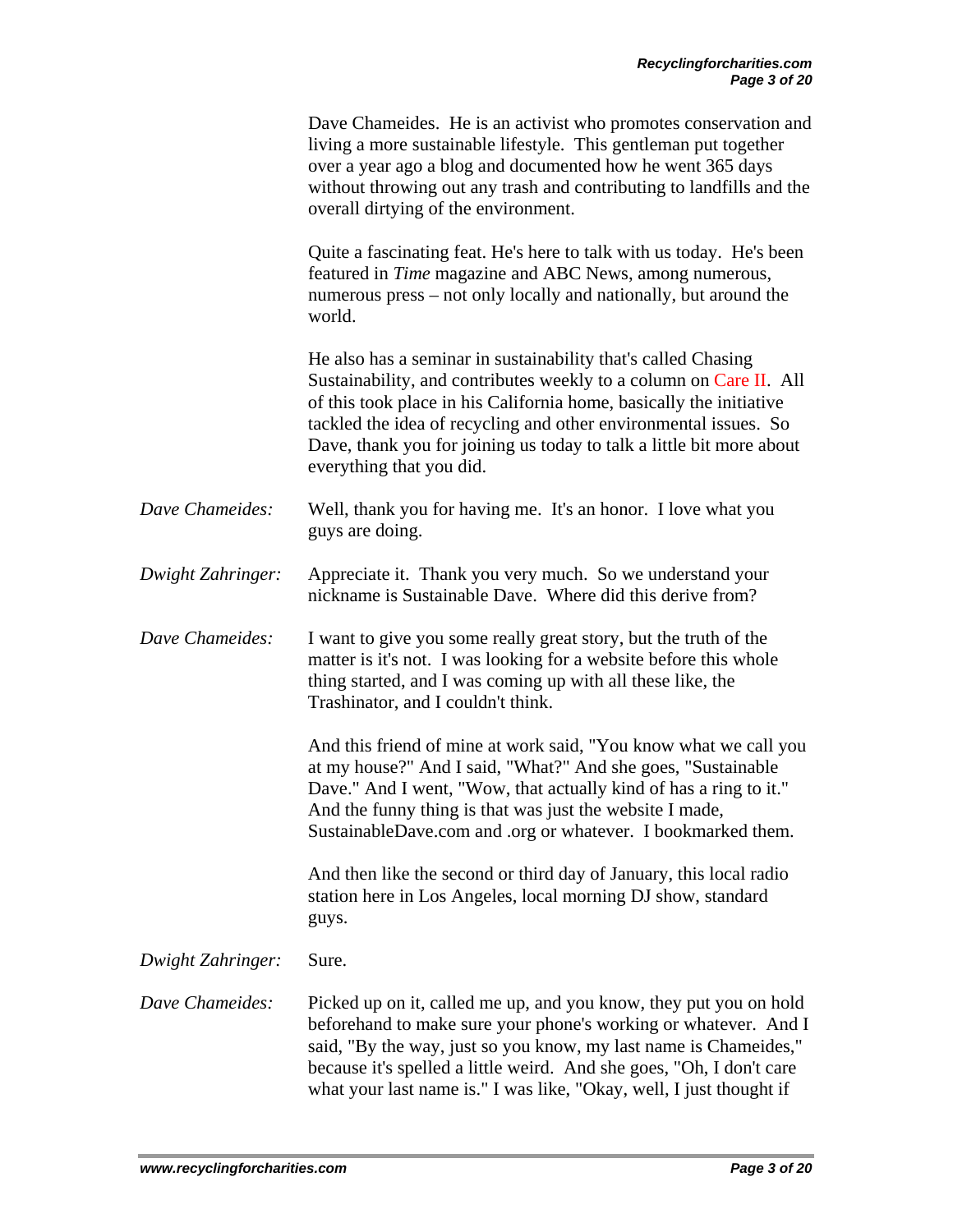|                   | Dave Chameides. He is an activist who promotes conservation and<br>living a more sustainable lifestyle. This gentleman put together<br>over a year ago a blog and documented how he went 365 days<br>without throwing out any trash and contributing to landfills and the<br>overall dirtying of the environment.                                                                  |
|-------------------|------------------------------------------------------------------------------------------------------------------------------------------------------------------------------------------------------------------------------------------------------------------------------------------------------------------------------------------------------------------------------------|
|                   | Quite a fascinating feat. He's here to talk with us today. He's been<br>featured in <i>Time</i> magazine and ABC News, among numerous,<br>numerous press - not only locally and nationally, but around the<br>world.                                                                                                                                                               |
|                   | He also has a seminar in sustainability that's called Chasing<br>Sustainability, and contributes weekly to a column on Care II. All<br>of this took place in his California home, basically the initiative<br>tackled the idea of recycling and other environmental issues. So<br>Dave, thank you for joining us today to talk a little bit more about<br>everything that you did. |
| Dave Chameides:   | Well, thank you for having me. It's an honor. I love what you<br>guys are doing.                                                                                                                                                                                                                                                                                                   |
| Dwight Zahringer: | Appreciate it. Thank you very much. So we understand your<br>nickname is Sustainable Dave. Where did this derive from?                                                                                                                                                                                                                                                             |
| Dave Chameides:   | I want to give you some really great story, but the truth of the<br>matter is it's not. I was looking for a website before this whole<br>thing started, and I was coming up with all these like, the<br>Trashinator, and I couldn't think.                                                                                                                                         |
|                   | And this friend of mine at work said, "You know what we call you<br>at my house?" And I said, "What?" And she goes, "Sustainable<br>Dave." And I went, "Wow, that actually kind of has a ring to it."<br>And the funny thing is that was just the website I made,<br>SustainableDave.com and .org or whatever. I bookmarked them.                                                  |
|                   | And then like the second or third day of January, this local radio<br>station here in Los Angeles, local morning DJ show, standard<br>guys.                                                                                                                                                                                                                                        |
| Dwight Zahringer: | Sure.                                                                                                                                                                                                                                                                                                                                                                              |
| Dave Chameides:   | Picked up on it, called me up, and you know, they put you on hold<br>beforehand to make sure your phone's working or whatever. And I<br>said, "By the way, just so you know, my last name is Chameides,"<br>because it's spelled a little weird. And she goes, "Oh, I don't care<br>what your last name is." I was like, "Okay, well, I just thought if                            |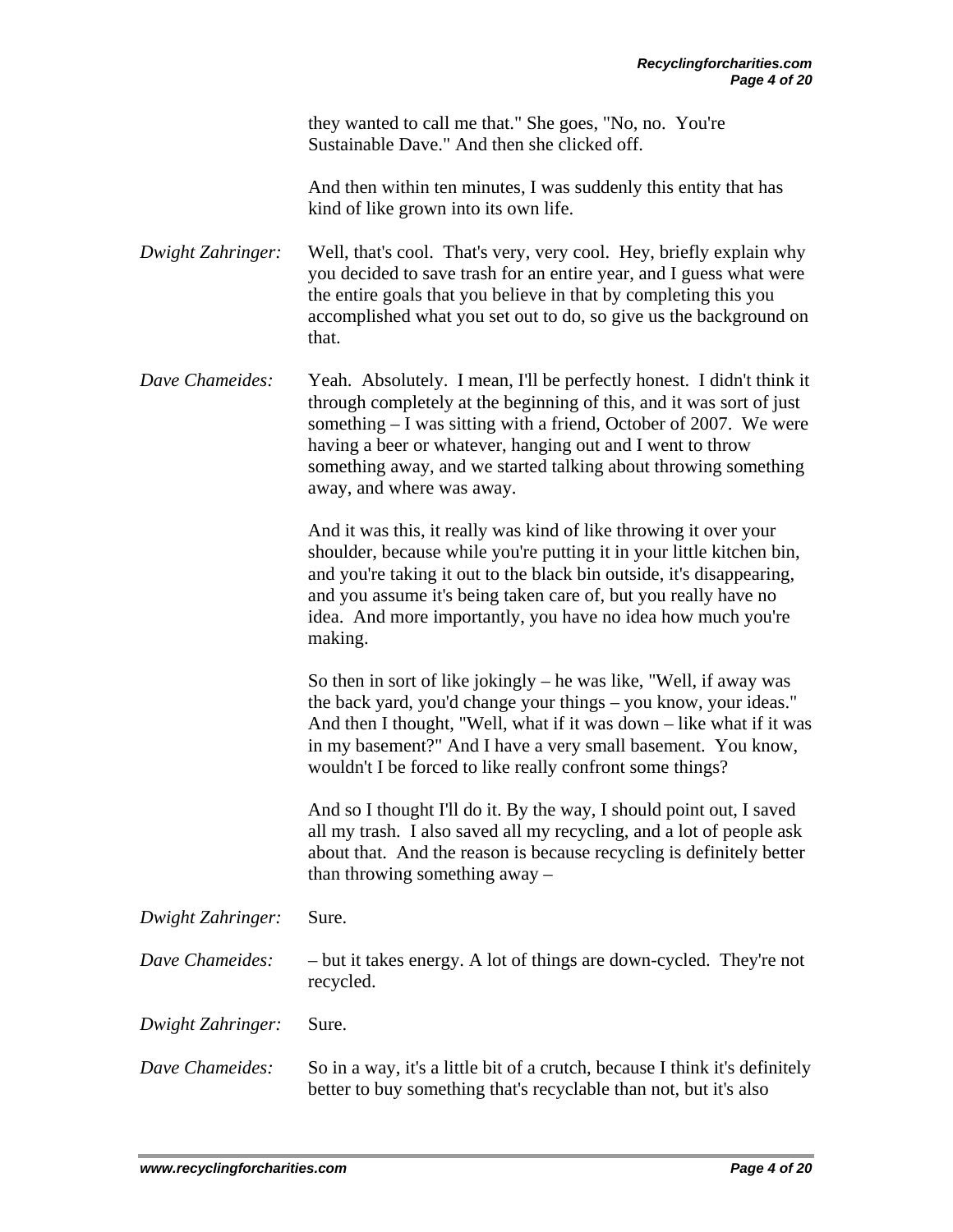they wanted to call me that." She goes, "No, no. You're Sustainable Dave." And then she clicked off.

 And then within ten minutes, I was suddenly this entity that has kind of like grown into its own life.

*Dwight Zahringer:* Well, that's cool. That's very, very cool. Hey, briefly explain why you decided to save trash for an entire year, and I guess what were the entire goals that you believe in that by completing this you accomplished what you set out to do, so give us the background on that.

*Dave Chameides:* Yeah. Absolutely. I mean, I'll be perfectly honest. I didn't think it through completely at the beginning of this, and it was sort of just something – I was sitting with a friend, October of 2007. We were having a beer or whatever, hanging out and I went to throw something away, and we started talking about throwing something away, and where was away.

> And it was this, it really was kind of like throwing it over your shoulder, because while you're putting it in your little kitchen bin, and you're taking it out to the black bin outside, it's disappearing, and you assume it's being taken care of, but you really have no idea. And more importantly, you have no idea how much you're making.

So then in sort of like jokingly – he was like, "Well, if away was the back yard, you'd change your things – you know, your ideas." And then I thought, "Well, what if it was down – like what if it was in my basement?" And I have a very small basement. You know, wouldn't I be forced to like really confront some things?

And so I thought I'll do it. By the way, I should point out, I saved all my trash. I also saved all my recycling, and a lot of people ask about that. And the reason is because recycling is definitely better than throwing something away –

*Dwight Zahringer:* Sure.

- *Dave Chameides:* but it takes energy. A lot of things are down-cycled. They're not recycled.
- *Dwight Zahringer:* Sure.
- *Dave Chameides:* So in a way, it's a little bit of a crutch, because I think it's definitely better to buy something that's recyclable than not, but it's also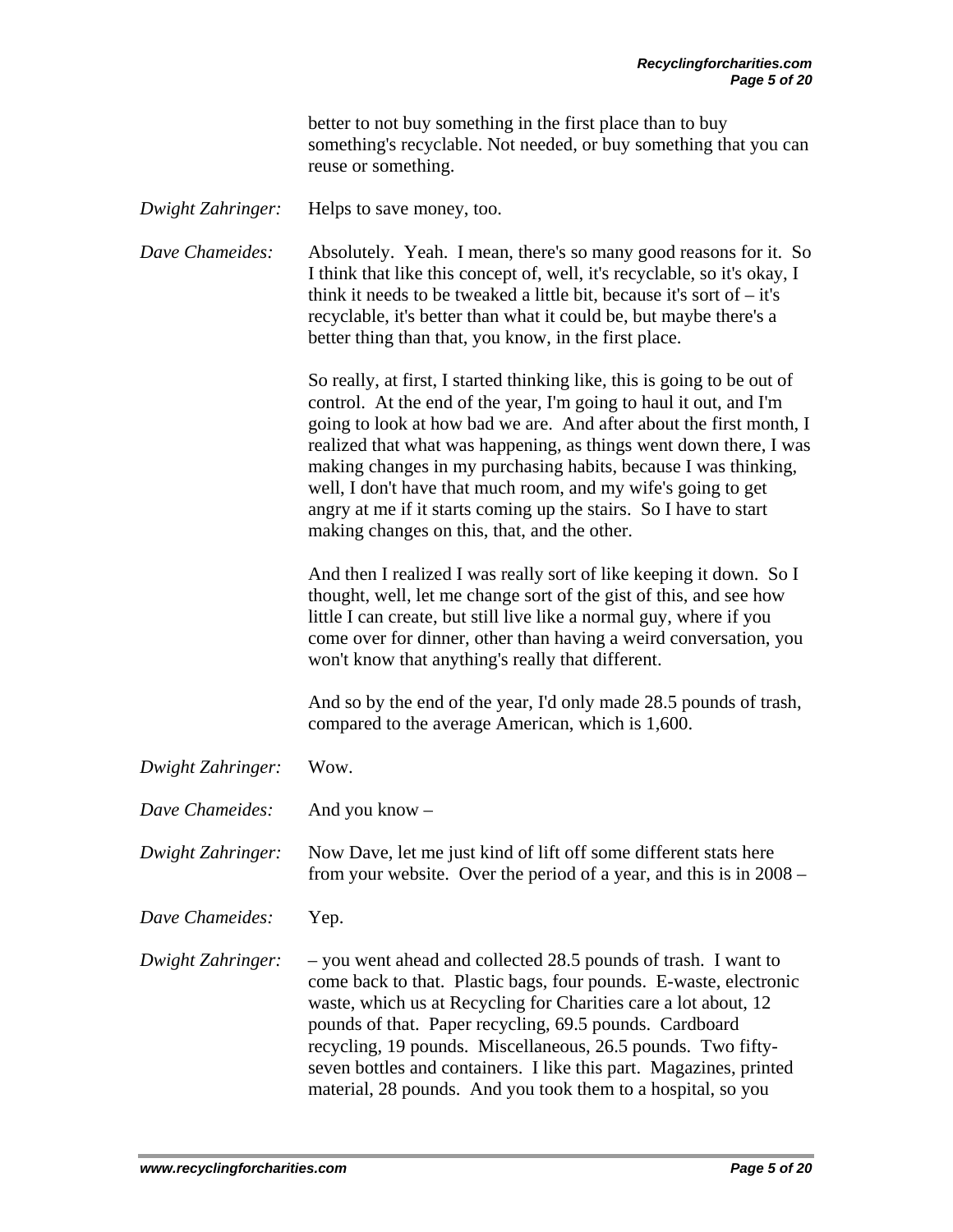better to not buy something in the first place than to buy something's recyclable. Not needed, or buy something that you can reuse or something.

*Dwight Zahringer:* Helps to save money, too.

*Dave Chameides:* Absolutely. Yeah. I mean, there's so many good reasons for it. So I think that like this concept of, well, it's recyclable, so it's okay, I think it needs to be tweaked a little bit, because it's sort of  $-$  it's recyclable, it's better than what it could be, but maybe there's a better thing than that, you know, in the first place.

> So really, at first, I started thinking like, this is going to be out of control. At the end of the year, I'm going to haul it out, and I'm going to look at how bad we are. And after about the first month, I realized that what was happening, as things went down there, I was making changes in my purchasing habits, because I was thinking, well, I don't have that much room, and my wife's going to get angry at me if it starts coming up the stairs. So I have to start making changes on this, that, and the other.

And then I realized I was really sort of like keeping it down. So I thought, well, let me change sort of the gist of this, and see how little I can create, but still live like a normal guy, where if you come over for dinner, other than having a weird conversation, you won't know that anything's really that different.

And so by the end of the year, I'd only made 28.5 pounds of trash, compared to the average American, which is 1,600.

*Dwight Zahringer:* Wow.

*Dave Chameides:* And you know –

*Dwight Zahringer:* Now Dave, let me just kind of lift off some different stats here from your website. Over the period of a year, and this is in 2008 –

*Dave Chameides:* Yep.

*Dwight Zahringer:* – you went ahead and collected 28.5 pounds of trash. I want to come back to that. Plastic bags, four pounds. E-waste, electronic waste, which us at Recycling for Charities care a lot about, 12 pounds of that. Paper recycling, 69.5 pounds. Cardboard recycling, 19 pounds. Miscellaneous, 26.5 pounds. Two fiftyseven bottles and containers. I like this part. Magazines, printed material, 28 pounds. And you took them to a hospital, so you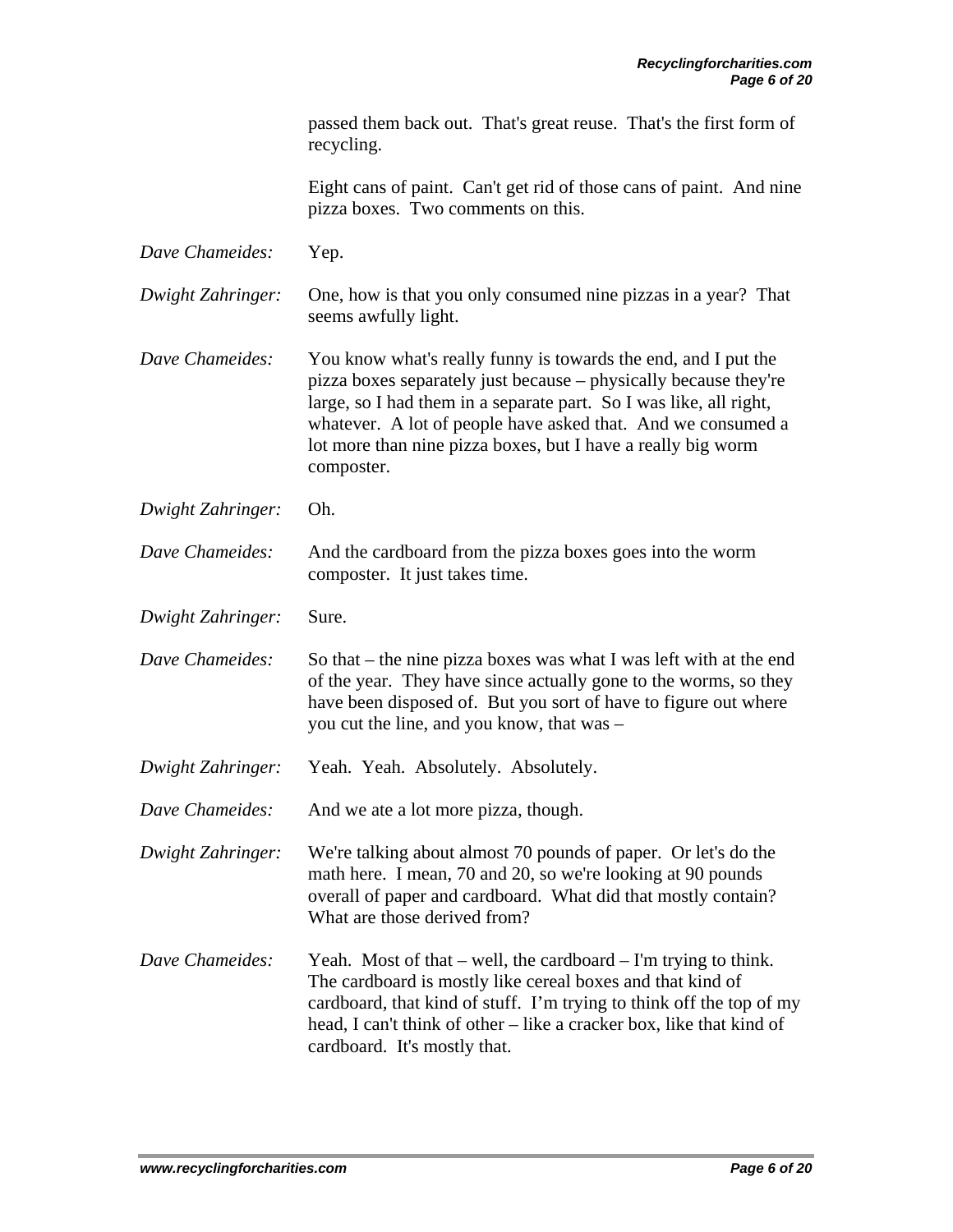passed them back out. That's great reuse. That's the first form of recycling.

 Eight cans of paint. Can't get rid of those cans of paint. And nine pizza boxes. Two comments on this.

| Dave Chameides:   | Yep.                                                                                                                                                                                                                                                                                                                                                   |
|-------------------|--------------------------------------------------------------------------------------------------------------------------------------------------------------------------------------------------------------------------------------------------------------------------------------------------------------------------------------------------------|
| Dwight Zahringer: | One, how is that you only consumed nine pizzas in a year? That<br>seems awfully light.                                                                                                                                                                                                                                                                 |
| Dave Chameides:   | You know what's really funny is towards the end, and I put the<br>pizza boxes separately just because – physically because they're<br>large, so I had them in a separate part. So I was like, all right,<br>whatever. A lot of people have asked that. And we consumed a<br>lot more than nine pizza boxes, but I have a really big worm<br>composter. |
| Dwight Zahringer: | Oh.                                                                                                                                                                                                                                                                                                                                                    |
| Dave Chameides:   | And the cardboard from the pizza boxes goes into the worm<br>composter. It just takes time.                                                                                                                                                                                                                                                            |
| Dwight Zahringer: | Sure.                                                                                                                                                                                                                                                                                                                                                  |
| Dave Chameides:   | So that – the nine pizza boxes was what I was left with at the end<br>of the year. They have since actually gone to the worms, so they<br>have been disposed of. But you sort of have to figure out where<br>you cut the line, and you know, that was -                                                                                                |
| Dwight Zahringer: | Yeah. Yeah. Absolutely. Absolutely.                                                                                                                                                                                                                                                                                                                    |
| Dave Chameides:   | And we ate a lot more pizza, though.                                                                                                                                                                                                                                                                                                                   |
| Dwight Zahringer: | We're talking about almost 70 pounds of paper. Or let's do the<br>math here. I mean, 70 and 20, so we're looking at 90 pounds<br>overall of paper and cardboard. What did that mostly contain?<br>What are those derived from?                                                                                                                         |
| Dave Chameides:   | Yeah. Most of that $-$ well, the cardboard $-$ I'm trying to think.<br>The cardboard is mostly like cereal boxes and that kind of<br>cardboard, that kind of stuff. I'm trying to think off the top of my<br>head, I can't think of other – like a cracker box, like that kind of<br>cardboard. It's mostly that.                                      |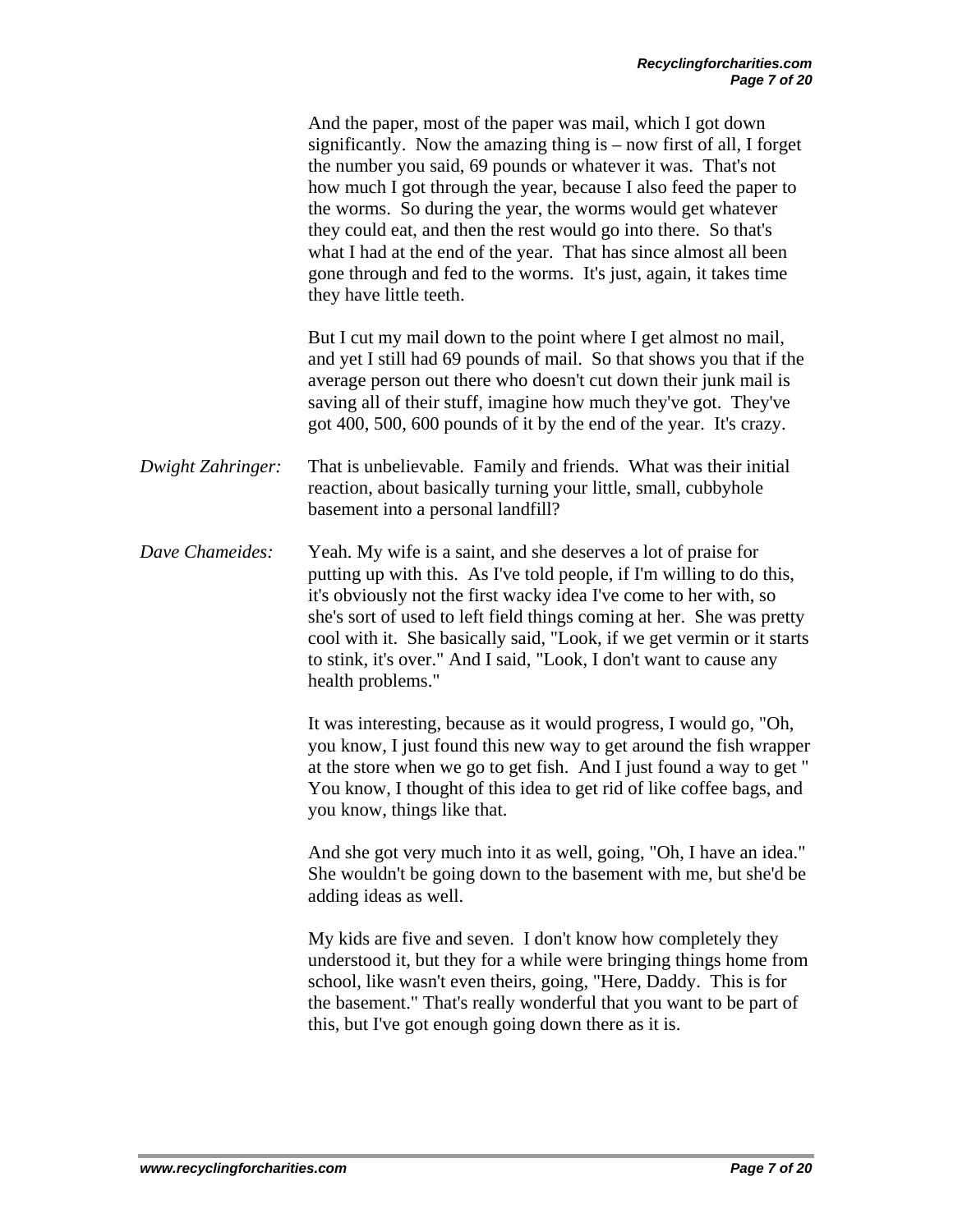|                   | And the paper, most of the paper was mail, which I got down<br>significantly. Now the amazing thing is $-$ now first of all, I forget<br>the number you said, 69 pounds or whatever it was. That's not<br>how much I got through the year, because I also feed the paper to<br>the worms. So during the year, the worms would get whatever<br>they could eat, and then the rest would go into there. So that's<br>what I had at the end of the year. That has since almost all been<br>gone through and fed to the worms. It's just, again, it takes time<br>they have little teeth. |
|-------------------|--------------------------------------------------------------------------------------------------------------------------------------------------------------------------------------------------------------------------------------------------------------------------------------------------------------------------------------------------------------------------------------------------------------------------------------------------------------------------------------------------------------------------------------------------------------------------------------|
|                   | But I cut my mail down to the point where I get almost no mail,<br>and yet I still had 69 pounds of mail. So that shows you that if the<br>average person out there who doesn't cut down their junk mail is<br>saving all of their stuff, imagine how much they've got. They've<br>got 400, 500, 600 pounds of it by the end of the year. It's crazy.                                                                                                                                                                                                                                |
| Dwight Zahringer: | That is unbelievable. Family and friends. What was their initial<br>reaction, about basically turning your little, small, cubbyhole<br>basement into a personal landfill?                                                                                                                                                                                                                                                                                                                                                                                                            |
| Dave Chameides:   | Yeah. My wife is a saint, and she deserves a lot of praise for<br>putting up with this. As I've told people, if I'm willing to do this,<br>it's obviously not the first wacky idea I've come to her with, so<br>she's sort of used to left field things coming at her. She was pretty<br>cool with it. She basically said, "Look, if we get vermin or it starts<br>to stink, it's over." And I said, "Look, I don't want to cause any<br>health problems."                                                                                                                           |
|                   | It was interesting, because as it would progress, I would go, "Oh,<br>you know, I just found this new way to get around the fish wrapper<br>at the store when we go to get fish. And I just found a way to get "<br>You know, I thought of this idea to get rid of like coffee bags, and<br>you know, things like that.                                                                                                                                                                                                                                                              |
|                   | And she got very much into it as well, going, "Oh, I have an idea."<br>She wouldn't be going down to the basement with me, but she'd be<br>adding ideas as well.                                                                                                                                                                                                                                                                                                                                                                                                                     |
|                   | My kids are five and seven. I don't know how completely they<br>understood it, but they for a while were bringing things home from<br>school, like wasn't even theirs, going, "Here, Daddy. This is for<br>the basement." That's really wonderful that you want to be part of<br>this, but I've got enough going down there as it is.                                                                                                                                                                                                                                                |
|                   |                                                                                                                                                                                                                                                                                                                                                                                                                                                                                                                                                                                      |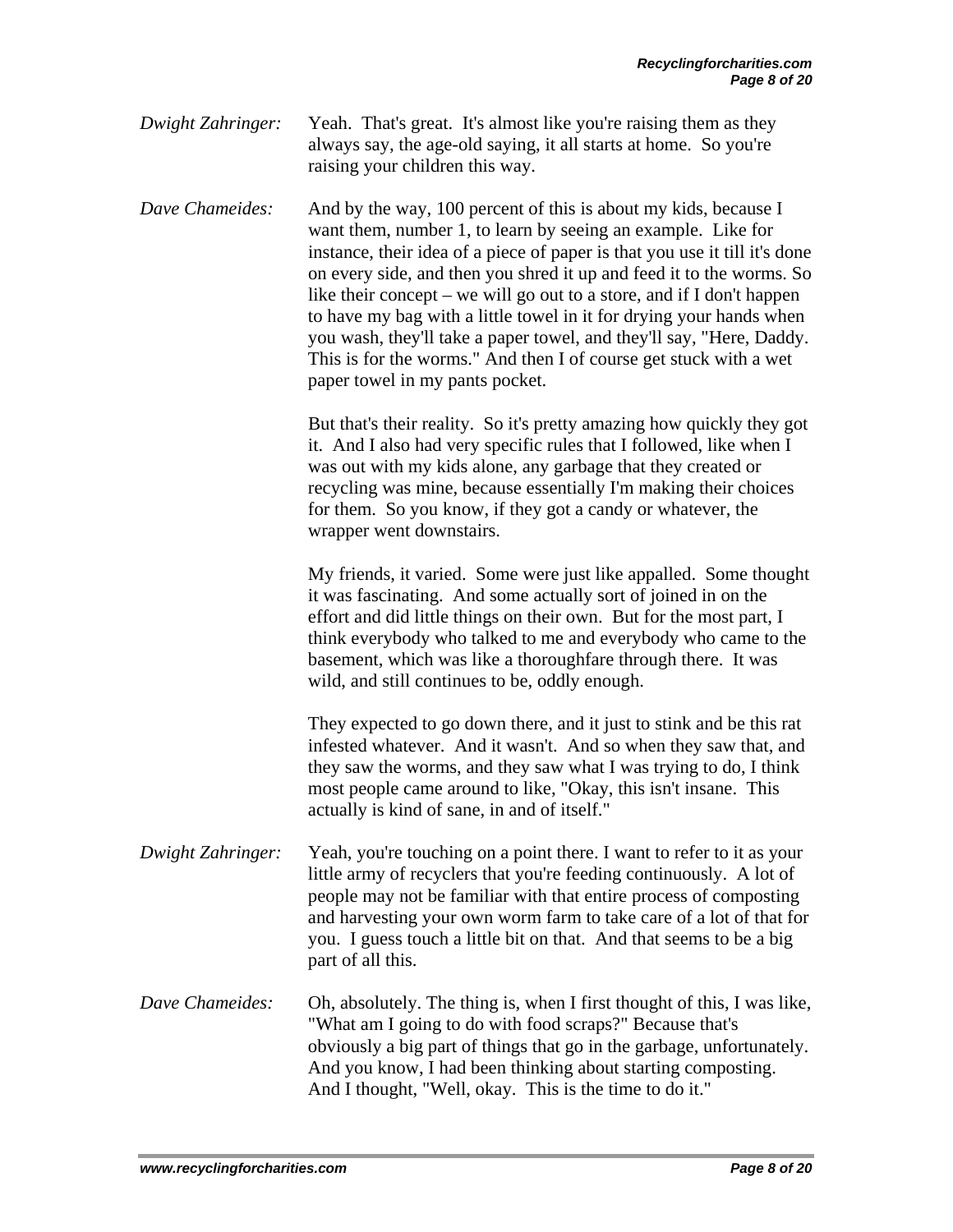*Dwight Zahringer:* Yeah. That's great. It's almost like you're raising them as they always say, the age-old saying, it all starts at home. So you're raising your children this way.

*Dave Chameides:* And by the way, 100 percent of this is about my kids, because I want them, number 1, to learn by seeing an example. Like for instance, their idea of a piece of paper is that you use it till it's done on every side, and then you shred it up and feed it to the worms. So like their concept – we will go out to a store, and if I don't happen to have my bag with a little towel in it for drying your hands when you wash, they'll take a paper towel, and they'll say, "Here, Daddy. This is for the worms." And then I of course get stuck with a wet paper towel in my pants pocket.

> But that's their reality. So it's pretty amazing how quickly they got it. And I also had very specific rules that I followed, like when I was out with my kids alone, any garbage that they created or recycling was mine, because essentially I'm making their choices for them. So you know, if they got a candy or whatever, the wrapper went downstairs.

> My friends, it varied. Some were just like appalled. Some thought it was fascinating. And some actually sort of joined in on the effort and did little things on their own. But for the most part, I think everybody who talked to me and everybody who came to the basement, which was like a thoroughfare through there. It was wild, and still continues to be, oddly enough.

 They expected to go down there, and it just to stink and be this rat infested whatever. And it wasn't. And so when they saw that, and they saw the worms, and they saw what I was trying to do, I think most people came around to like, "Okay, this isn't insane. This actually is kind of sane, in and of itself."

- *Dwight Zahringer:* Yeah, you're touching on a point there. I want to refer to it as your little army of recyclers that you're feeding continuously. A lot of people may not be familiar with that entire process of composting and harvesting your own worm farm to take care of a lot of that for you. I guess touch a little bit on that. And that seems to be a big part of all this.
- *Dave Chameides:* Oh, absolutely. The thing is, when I first thought of this, I was like, "What am I going to do with food scraps?" Because that's obviously a big part of things that go in the garbage, unfortunately. And you know, I had been thinking about starting composting. And I thought, "Well, okay. This is the time to do it."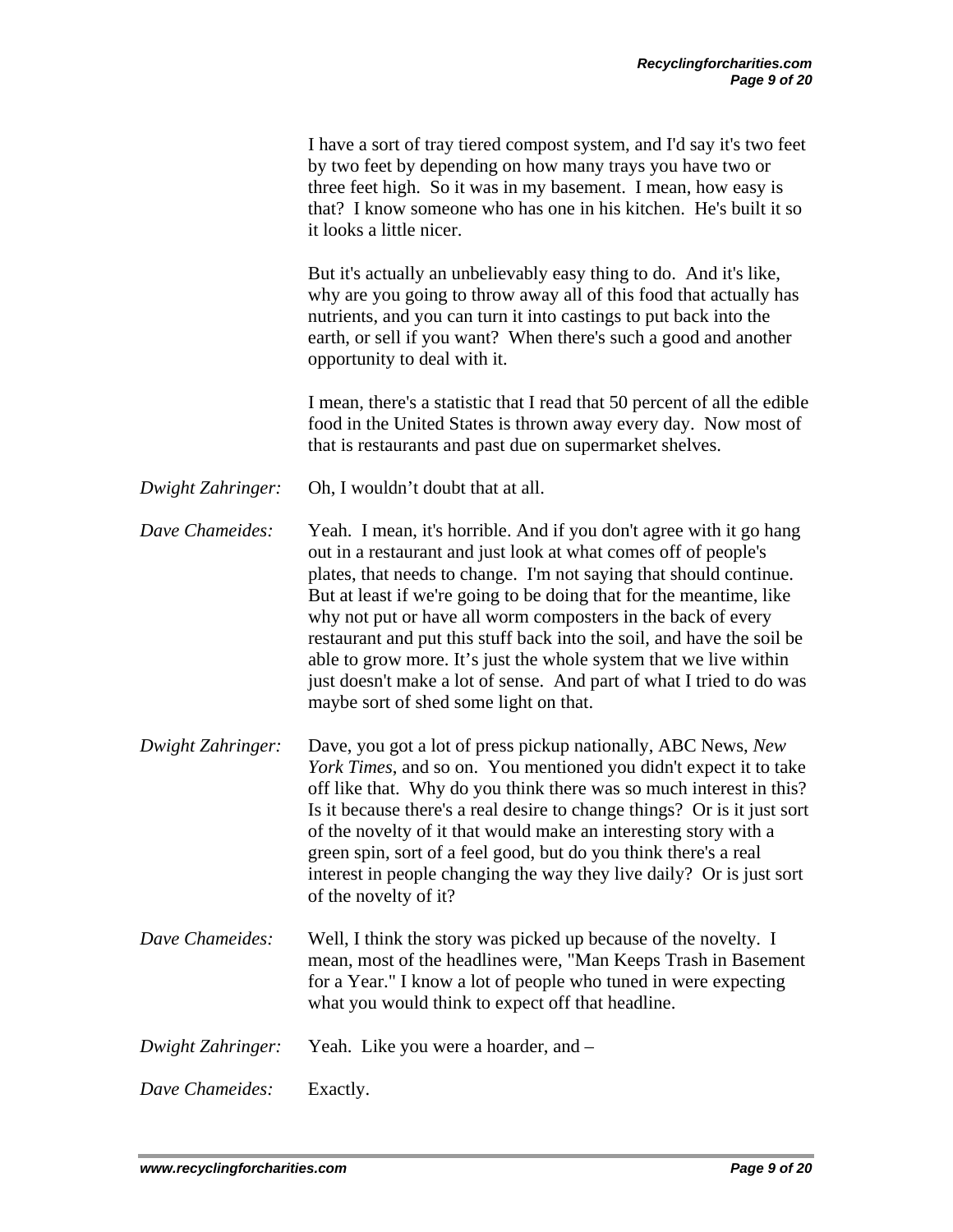|                   | I have a sort of tray tiered compost system, and I'd say it's two feet<br>by two feet by depending on how many trays you have two or<br>three feet high. So it was in my basement. I mean, how easy is<br>that? I know someone who has one in his kitchen. He's built it so<br>it looks a little nicer.                                                                                                                                                                                                                                                                                                              |
|-------------------|----------------------------------------------------------------------------------------------------------------------------------------------------------------------------------------------------------------------------------------------------------------------------------------------------------------------------------------------------------------------------------------------------------------------------------------------------------------------------------------------------------------------------------------------------------------------------------------------------------------------|
|                   | But it's actually an unbelievably easy thing to do. And it's like,<br>why are you going to throw away all of this food that actually has<br>nutrients, and you can turn it into castings to put back into the<br>earth, or sell if you want? When there's such a good and another<br>opportunity to deal with it.                                                                                                                                                                                                                                                                                                    |
|                   | I mean, there's a statistic that I read that 50 percent of all the edible<br>food in the United States is thrown away every day. Now most of<br>that is restaurants and past due on supermarket shelves.                                                                                                                                                                                                                                                                                                                                                                                                             |
| Dwight Zahringer: | Oh, I wouldn't doubt that at all.                                                                                                                                                                                                                                                                                                                                                                                                                                                                                                                                                                                    |
| Dave Chameides:   | Yeah. I mean, it's horrible. And if you don't agree with it go hang<br>out in a restaurant and just look at what comes off of people's<br>plates, that needs to change. I'm not saying that should continue.<br>But at least if we're going to be doing that for the meantime, like<br>why not put or have all worm composters in the back of every<br>restaurant and put this stuff back into the soil, and have the soil be<br>able to grow more. It's just the whole system that we live within<br>just doesn't make a lot of sense. And part of what I tried to do was<br>maybe sort of shed some light on that. |
| Dwight Zahringer: | Dave, you got a lot of press pickup nationally, ABC News, New<br>York Times, and so on. You mentioned you didn't expect it to take<br>off like that. Why do you think there was so much interest in this?<br>Is it because there's a real desire to change things? Or is it just sort<br>of the novelty of it that would make an interesting story with a<br>green spin, sort of a feel good, but do you think there's a real<br>interest in people changing the way they live daily? Or is just sort<br>of the novelty of it?                                                                                       |
| Dave Chameides:   | Well, I think the story was picked up because of the novelty. I<br>mean, most of the headlines were, "Man Keeps Trash in Basement<br>for a Year." I know a lot of people who tuned in were expecting<br>what you would think to expect off that headline.                                                                                                                                                                                                                                                                                                                                                            |
| Dwight Zahringer: | Yeah. Like you were a hoarder, and -                                                                                                                                                                                                                                                                                                                                                                                                                                                                                                                                                                                 |
| Dave Chameides:   | Exactly.                                                                                                                                                                                                                                                                                                                                                                                                                                                                                                                                                                                                             |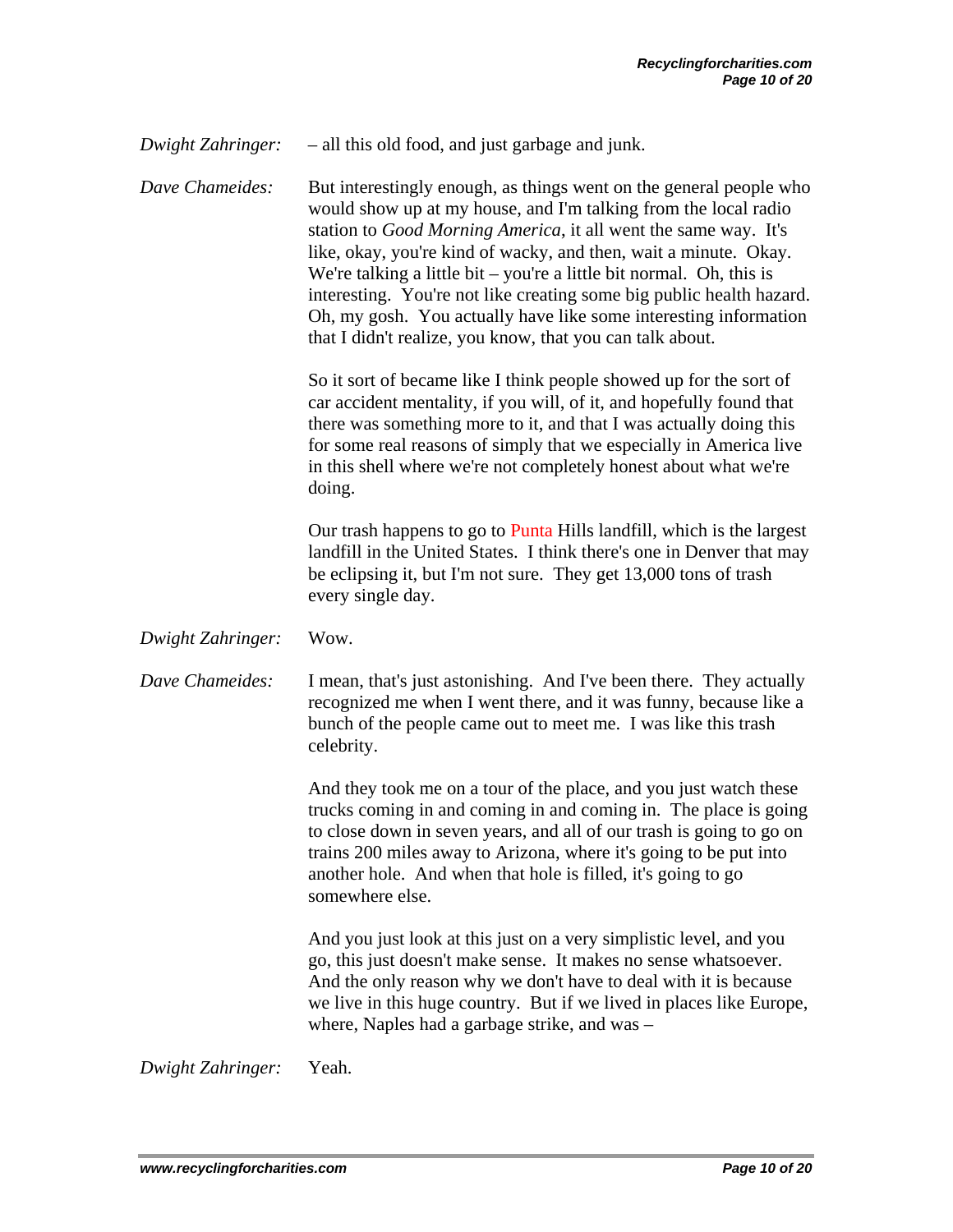*Dwight Zahringer:* – all this old food, and just garbage and junk.

*Dave Chameides:* But interestingly enough, as things went on the general people who would show up at my house, and I'm talking from the local radio station to *Good Morning America*, it all went the same way. It's like, okay, you're kind of wacky, and then, wait a minute. Okay. We're talking a little bit – you're a little bit normal. Oh, this is interesting. You're not like creating some big public health hazard. Oh, my gosh. You actually have like some interesting information that I didn't realize, you know, that you can talk about.

> So it sort of became like I think people showed up for the sort of car accident mentality, if you will, of it, and hopefully found that there was something more to it, and that I was actually doing this for some real reasons of simply that we especially in America live in this shell where we're not completely honest about what we're doing.

 Our trash happens to go to Punta Hills landfill, which is the largest landfill in the United States. I think there's one in Denver that may be eclipsing it, but I'm not sure. They get 13,000 tons of trash every single day.

*Dwight Zahringer:* Wow.

*Dave Chameides:* I mean, that's just astonishing. And I've been there. They actually recognized me when I went there, and it was funny, because like a bunch of the people came out to meet me. I was like this trash celebrity.

> And they took me on a tour of the place, and you just watch these trucks coming in and coming in and coming in. The place is going to close down in seven years, and all of our trash is going to go on trains 200 miles away to Arizona, where it's going to be put into another hole. And when that hole is filled, it's going to go somewhere else.

> And you just look at this just on a very simplistic level, and you go, this just doesn't make sense. It makes no sense whatsoever. And the only reason why we don't have to deal with it is because we live in this huge country. But if we lived in places like Europe, where, Naples had a garbage strike, and was –

*Dwight Zahringer:* Yeah.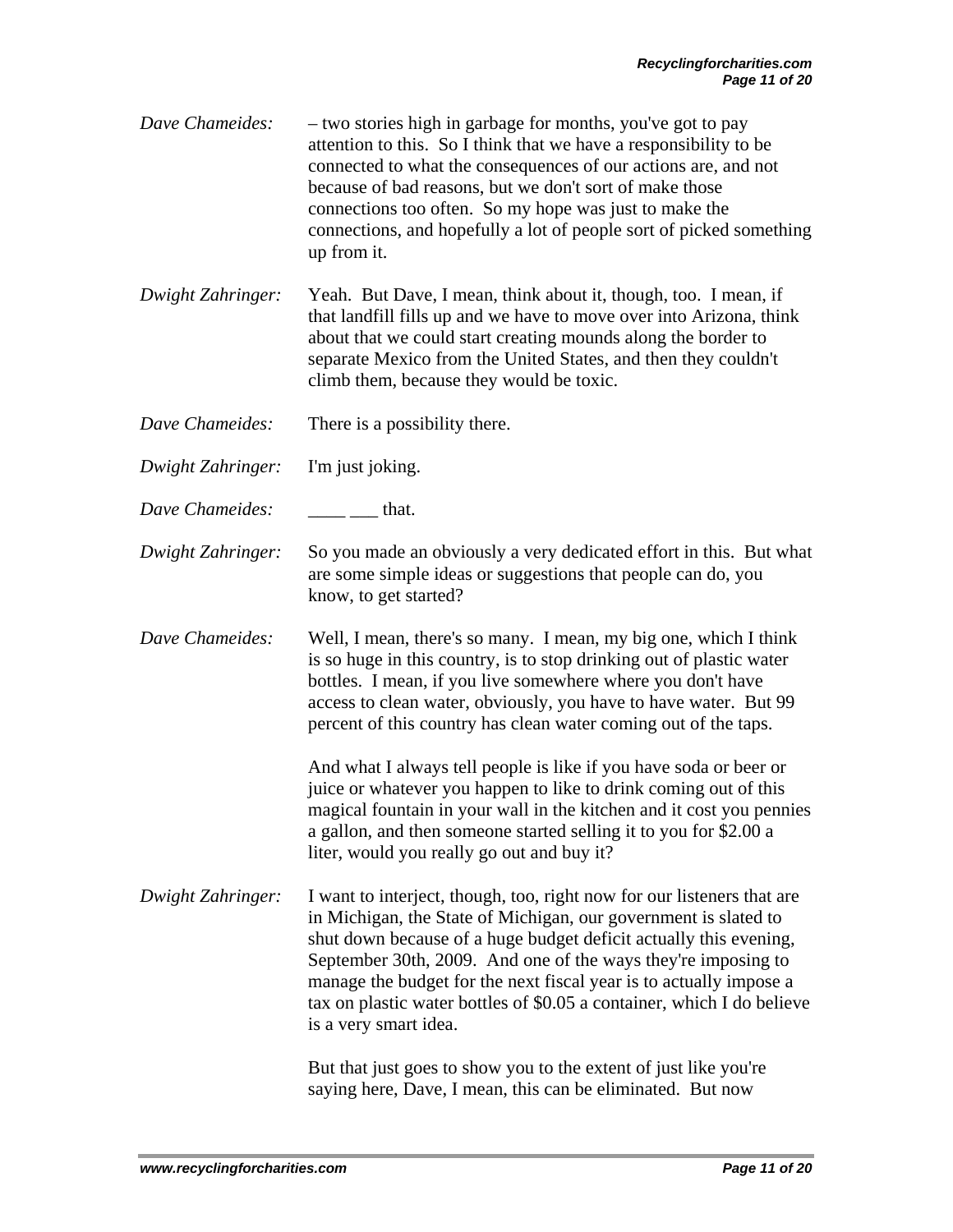- *Dave Chameides:* two stories high in garbage for months, you've got to pay attention to this. So I think that we have a responsibility to be connected to what the consequences of our actions are, and not because of bad reasons, but we don't sort of make those connections too often. So my hope was just to make the connections, and hopefully a lot of people sort of picked something up from it.
- *Dwight Zahringer:* Yeah. But Dave, I mean, think about it, though, too. I mean, if that landfill fills up and we have to move over into Arizona, think about that we could start creating mounds along the border to separate Mexico from the United States, and then they couldn't climb them, because they would be toxic.
- *Dave Chameides:* There is a possibility there.
- *Dwight Zahringer:* I'm just joking.
- *Dave Chameides:* that.
- *Dwight Zahringer:* So you made an obviously a very dedicated effort in this. But what are some simple ideas or suggestions that people can do, you know, to get started?
- *Dave Chameides:* Well, I mean, there's so many. I mean, my big one, which I think is so huge in this country, is to stop drinking out of plastic water bottles. I mean, if you live somewhere where you don't have access to clean water, obviously, you have to have water. But 99 percent of this country has clean water coming out of the taps.

And what I always tell people is like if you have soda or beer or juice or whatever you happen to like to drink coming out of this magical fountain in your wall in the kitchen and it cost you pennies a gallon, and then someone started selling it to you for \$2.00 a liter, would you really go out and buy it?

*Dwight Zahringer:* I want to interject, though, too, right now for our listeners that are in Michigan, the State of Michigan, our government is slated to shut down because of a huge budget deficit actually this evening, September 30th, 2009. And one of the ways they're imposing to manage the budget for the next fiscal year is to actually impose a tax on plastic water bottles of \$0.05 a container, which I do believe is a very smart idea.

> But that just goes to show you to the extent of just like you're saying here, Dave, I mean, this can be eliminated. But now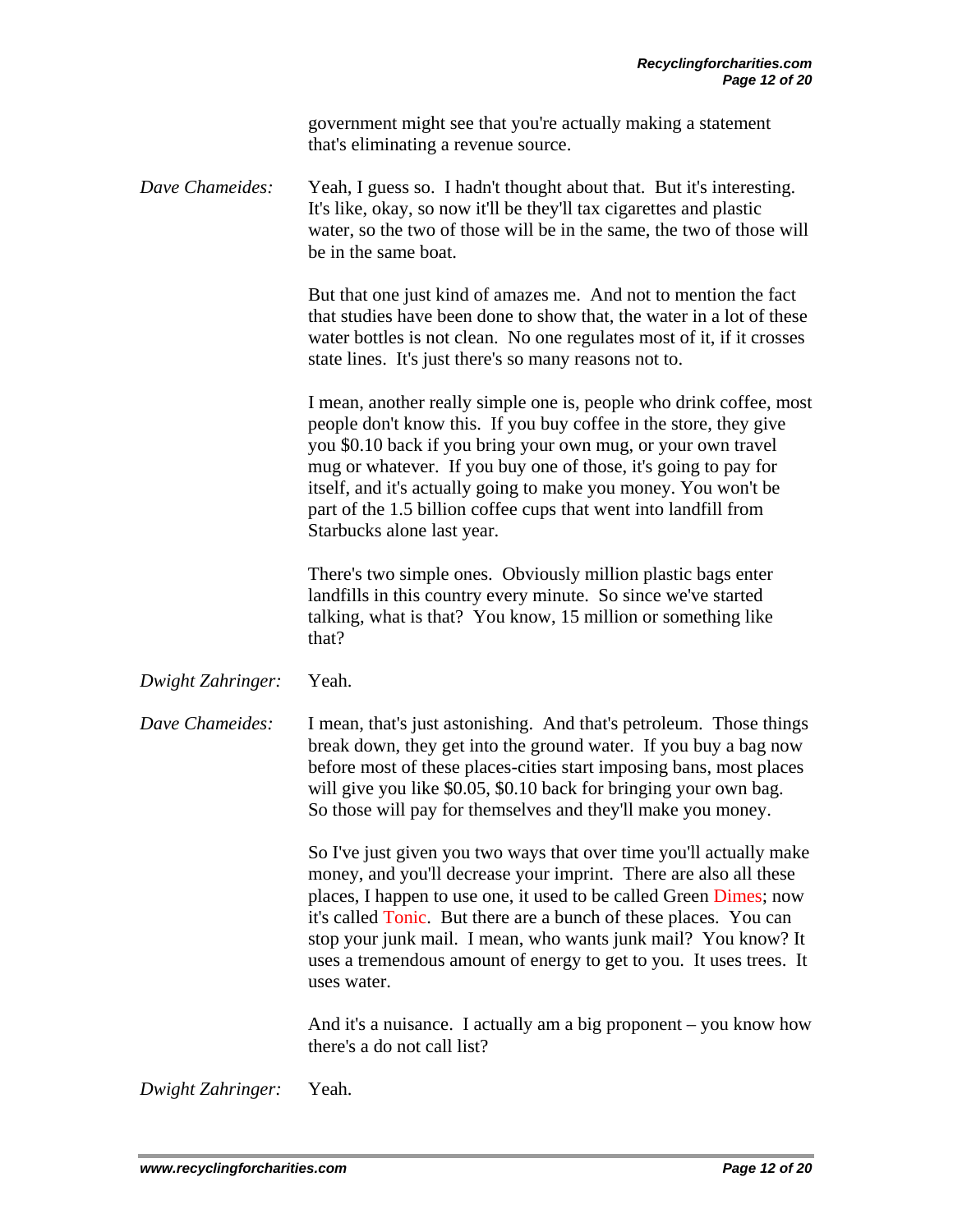government might see that you're actually making a statement that's eliminating a revenue source.

*Dave Chameides:* Yeah, I guess so. I hadn't thought about that. But it's interesting. It's like, okay, so now it'll be they'll tax cigarettes and plastic water, so the two of those will be in the same, the two of those will be in the same boat.

> But that one just kind of amazes me. And not to mention the fact that studies have been done to show that, the water in a lot of these water bottles is not clean. No one regulates most of it, if it crosses state lines. It's just there's so many reasons not to.

 I mean, another really simple one is, people who drink coffee, most people don't know this. If you buy coffee in the store, they give you \$0.10 back if you bring your own mug, or your own travel mug or whatever. If you buy one of those, it's going to pay for itself, and it's actually going to make you money. You won't be part of the 1.5 billion coffee cups that went into landfill from Starbucks alone last year.

 There's two simple ones. Obviously million plastic bags enter landfills in this country every minute. So since we've started talking, what is that? You know, 15 million or something like that?

*Dwight Zahringer:* Yeah.

*Dave Chameides:* I mean, that's just astonishing. And that's petroleum. Those things break down, they get into the ground water. If you buy a bag now before most of these places-cities start imposing bans, most places will give you like \$0.05, \$0.10 back for bringing your own bag. So those will pay for themselves and they'll make you money.

> So I've just given you two ways that over time you'll actually make money, and you'll decrease your imprint. There are also all these places, I happen to use one, it used to be called Green Dimes; now it's called Tonic. But there are a bunch of these places. You can stop your junk mail. I mean, who wants junk mail? You know? It uses a tremendous amount of energy to get to you. It uses trees. It uses water.

> And it's a nuisance. I actually am a big proponent – you know how there's a do not call list?

*Dwight Zahringer:* Yeah.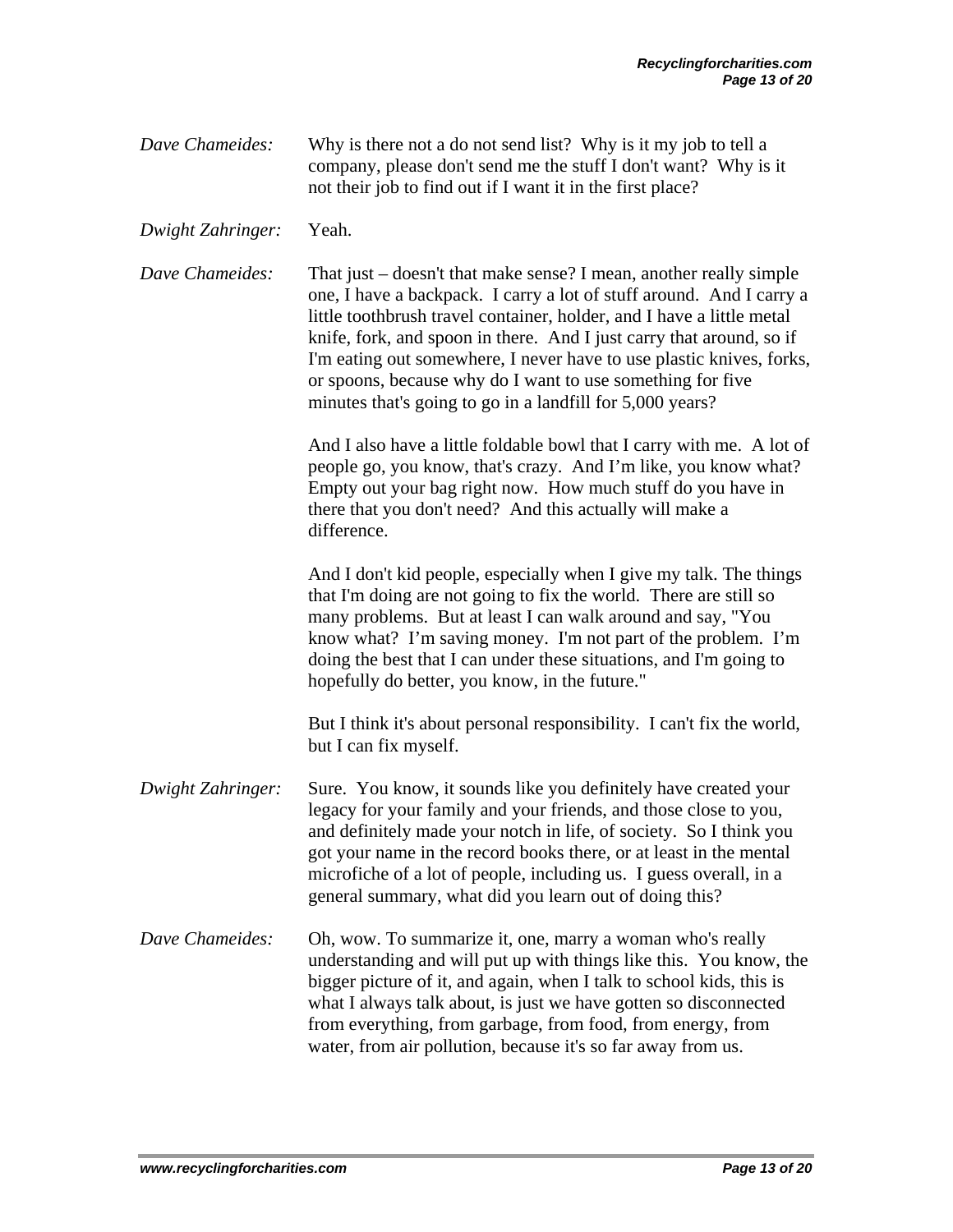| Dave Chameides: | Why is there not a do not send list? Why is it my job to tell a |
|-----------------|-----------------------------------------------------------------|
|                 | company, please don't send me the stuff I don't want? Why is it |
|                 | not their job to find out if I want it in the first place?      |

*Dwight Zahringer:* Yeah.

*Dave Chameides:* That just – doesn't that make sense? I mean, another really simple one, I have a backpack. I carry a lot of stuff around. And I carry a little toothbrush travel container, holder, and I have a little metal knife, fork, and spoon in there. And I just carry that around, so if I'm eating out somewhere, I never have to use plastic knives, forks, or spoons, because why do I want to use something for five minutes that's going to go in a landfill for 5,000 years?

> And I also have a little foldable bowl that I carry with me. A lot of people go, you know, that's crazy. And I'm like, you know what? Empty out your bag right now. How much stuff do you have in there that you don't need? And this actually will make a difference.

 And I don't kid people, especially when I give my talk. The things that I'm doing are not going to fix the world. There are still so many problems. But at least I can walk around and say, "You know what? I'm saving money. I'm not part of the problem. I'm doing the best that I can under these situations, and I'm going to hopefully do better, you know, in the future."

 But I think it's about personal responsibility. I can't fix the world, but I can fix myself.

*Dwight Zahringer:* Sure. You know, it sounds like you definitely have created your legacy for your family and your friends, and those close to you, and definitely made your notch in life, of society. So I think you got your name in the record books there, or at least in the mental microfiche of a lot of people, including us. I guess overall, in a general summary, what did you learn out of doing this?

*Dave Chameides:* Oh, wow. To summarize it, one, marry a woman who's really understanding and will put up with things like this. You know, the bigger picture of it, and again, when I talk to school kids, this is what I always talk about, is just we have gotten so disconnected from everything, from garbage, from food, from energy, from water, from air pollution, because it's so far away from us.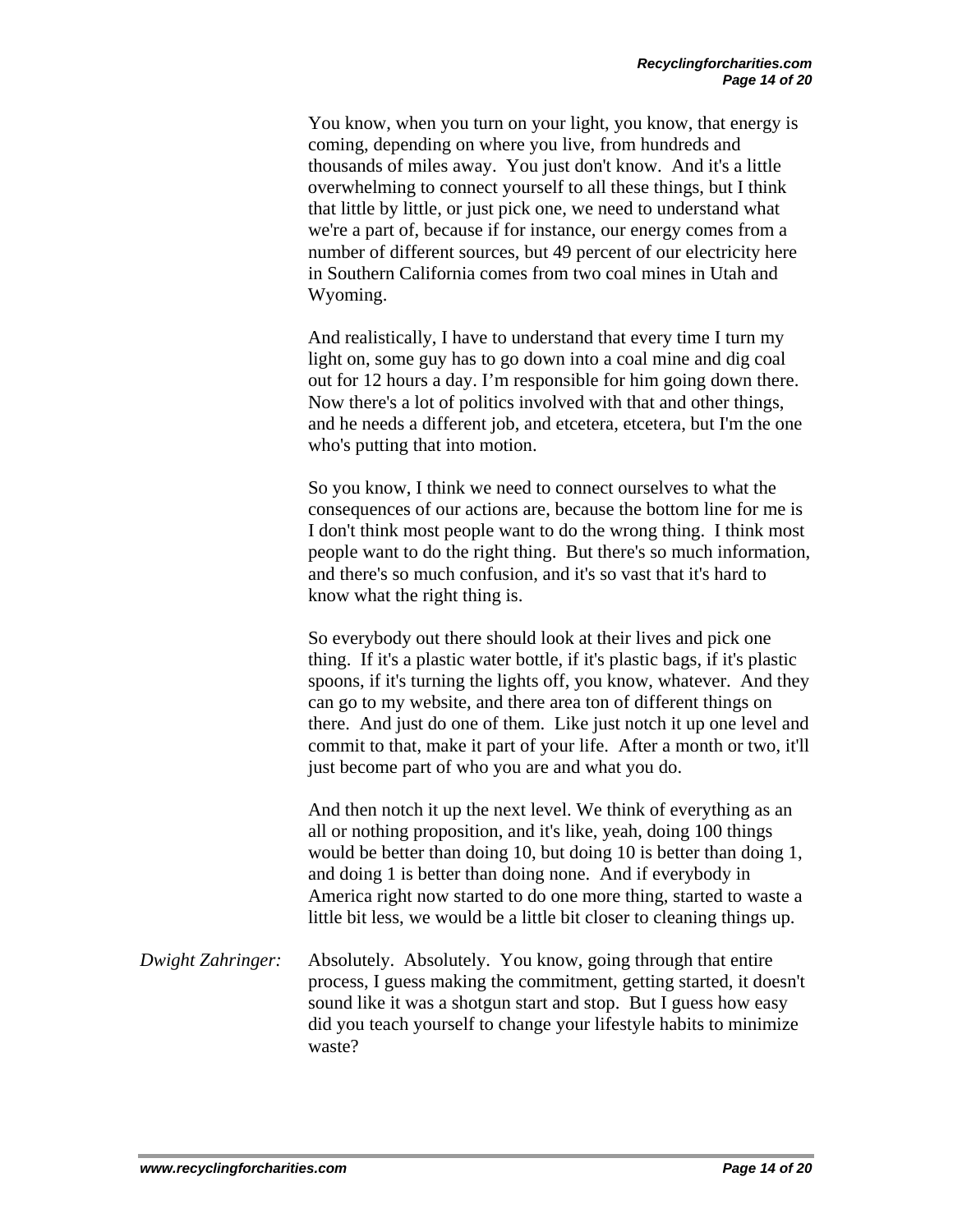You know, when you turn on your light, you know, that energy is coming, depending on where you live, from hundreds and thousands of miles away. You just don't know. And it's a little overwhelming to connect yourself to all these things, but I think that little by little, or just pick one, we need to understand what we're a part of, because if for instance, our energy comes from a number of different sources, but 49 percent of our electricity here in Southern California comes from two coal mines in Utah and Wyoming.

And realistically, I have to understand that every time I turn my light on, some guy has to go down into a coal mine and dig coal out for 12 hours a day. I'm responsible for him going down there. Now there's a lot of politics involved with that and other things, and he needs a different job, and etcetera, etcetera, but I'm the one who's putting that into motion.

So you know, I think we need to connect ourselves to what the consequences of our actions are, because the bottom line for me is I don't think most people want to do the wrong thing. I think most people want to do the right thing. But there's so much information, and there's so much confusion, and it's so vast that it's hard to know what the right thing is.

So everybody out there should look at their lives and pick one thing. If it's a plastic water bottle, if it's plastic bags, if it's plastic spoons, if it's turning the lights off, you know, whatever. And they can go to my website, and there area ton of different things on there. And just do one of them. Like just notch it up one level and commit to that, make it part of your life. After a month or two, it'll just become part of who you are and what you do.

And then notch it up the next level. We think of everything as an all or nothing proposition, and it's like, yeah, doing 100 things would be better than doing 10, but doing 10 is better than doing 1, and doing 1 is better than doing none. And if everybody in America right now started to do one more thing, started to waste a little bit less, we would be a little bit closer to cleaning things up.

*Dwight Zahringer:* Absolutely. Absolutely. You know, going through that entire process, I guess making the commitment, getting started, it doesn't sound like it was a shotgun start and stop. But I guess how easy did you teach yourself to change your lifestyle habits to minimize waste?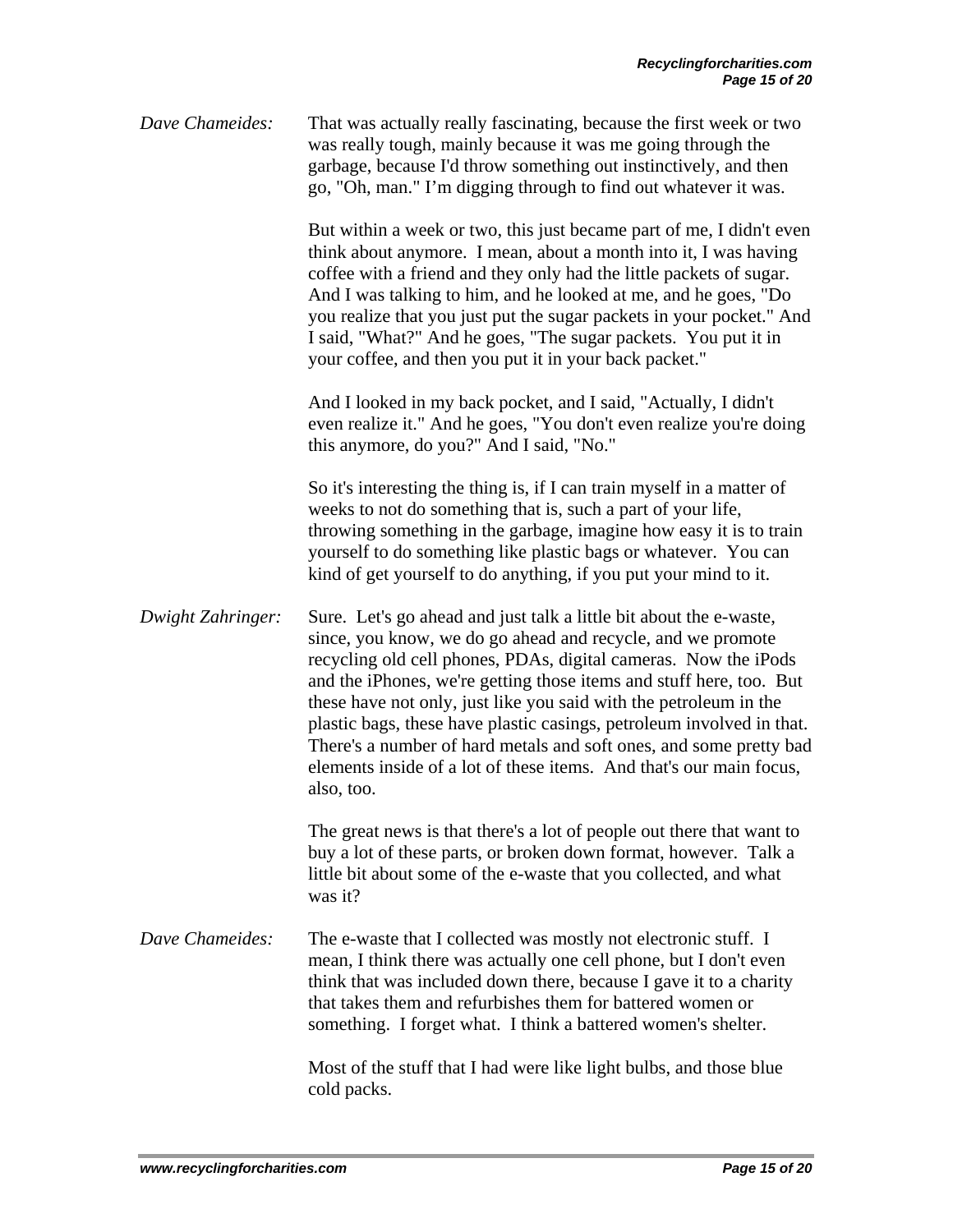*Dave Chameides:* That was actually really fascinating, because the first week or two was really tough, mainly because it was me going through the garbage, because I'd throw something out instinctively, and then go, "Oh, man." I'm digging through to find out whatever it was.

> But within a week or two, this just became part of me, I didn't even think about anymore. I mean, about a month into it, I was having coffee with a friend and they only had the little packets of sugar. And I was talking to him, and he looked at me, and he goes, "Do you realize that you just put the sugar packets in your pocket." And I said, "What?" And he goes, "The sugar packets. You put it in your coffee, and then you put it in your back packet."

And I looked in my back pocket, and I said, "Actually, I didn't even realize it." And he goes, "You don't even realize you're doing this anymore, do you?" And I said, "No."

So it's interesting the thing is, if I can train myself in a matter of weeks to not do something that is, such a part of your life, throwing something in the garbage, imagine how easy it is to train yourself to do something like plastic bags or whatever. You can kind of get yourself to do anything, if you put your mind to it.

*Dwight Zahringer:* Sure. Let's go ahead and just talk a little bit about the e-waste, since, you know, we do go ahead and recycle, and we promote recycling old cell phones, PDAs, digital cameras. Now the iPods and the iPhones, we're getting those items and stuff here, too. But these have not only, just like you said with the petroleum in the plastic bags, these have plastic casings, petroleum involved in that. There's a number of hard metals and soft ones, and some pretty bad elements inside of a lot of these items. And that's our main focus, also, too.

> The great news is that there's a lot of people out there that want to buy a lot of these parts, or broken down format, however. Talk a little bit about some of the e-waste that you collected, and what was it?

*Dave Chameides:* The e-waste that I collected was mostly not electronic stuff. I mean, I think there was actually one cell phone, but I don't even think that was included down there, because I gave it to a charity that takes them and refurbishes them for battered women or something. I forget what. I think a battered women's shelter.

> Most of the stuff that I had were like light bulbs, and those blue cold packs.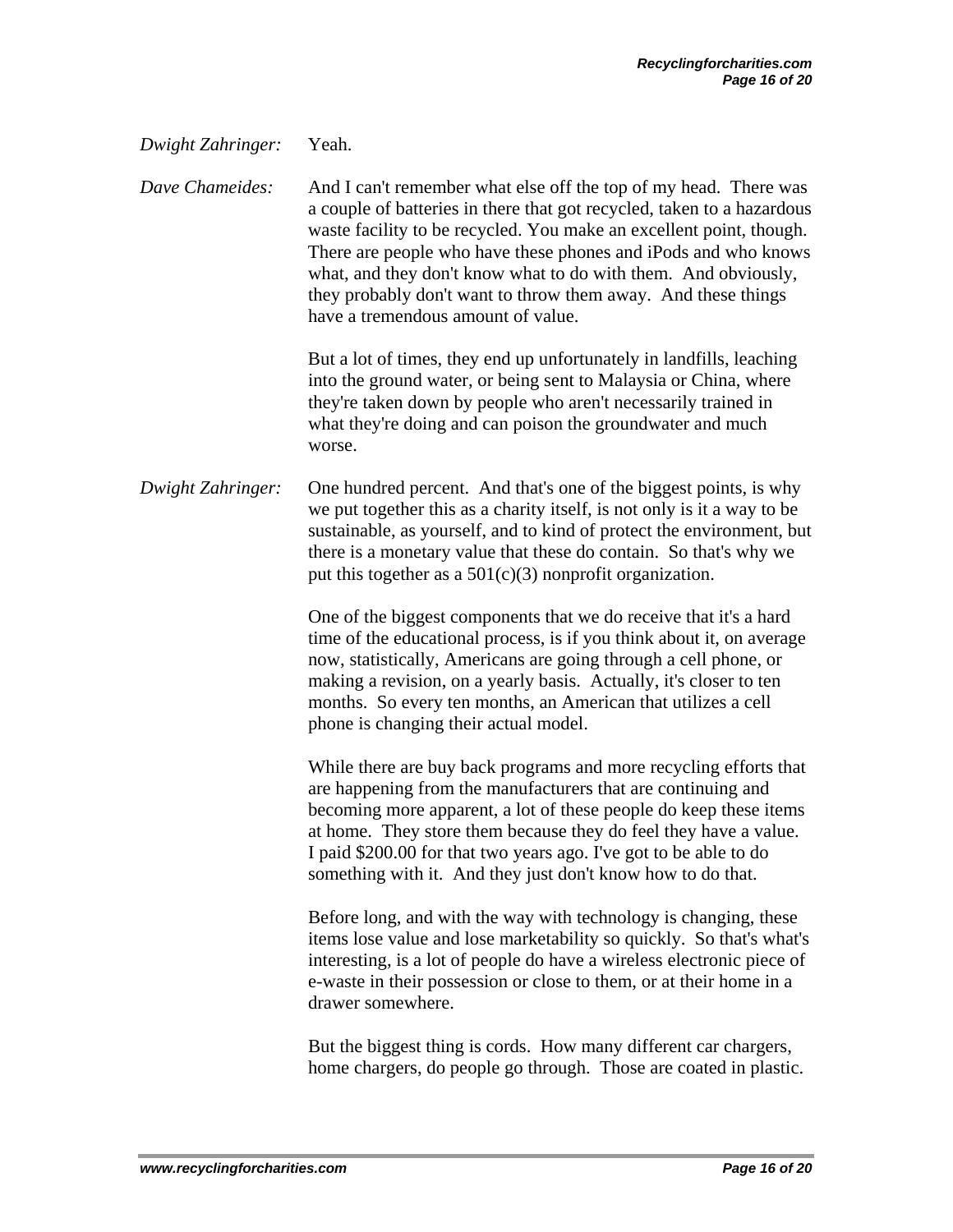## *Dwight Zahringer:* Yeah.

*Dave Chameides:* And I can't remember what else off the top of my head. There was a couple of batteries in there that got recycled, taken to a hazardous waste facility to be recycled. You make an excellent point, though. There are people who have these phones and iPods and who knows what, and they don't know what to do with them. And obviously, they probably don't want to throw them away. And these things have a tremendous amount of value.

> But a lot of times, they end up unfortunately in landfills, leaching into the ground water, or being sent to Malaysia or China, where they're taken down by people who aren't necessarily trained in what they're doing and can poison the groundwater and much worse.

*Dwight Zahringer:* One hundred percent. And that's one of the biggest points, is why we put together this as a charity itself, is not only is it a way to be sustainable, as yourself, and to kind of protect the environment, but there is a monetary value that these do contain. So that's why we put this together as a  $501(c)(3)$  nonprofit organization.

> One of the biggest components that we do receive that it's a hard time of the educational process, is if you think about it, on average now, statistically, Americans are going through a cell phone, or making a revision, on a yearly basis. Actually, it's closer to ten months. So every ten months, an American that utilizes a cell phone is changing their actual model.

> While there are buy back programs and more recycling efforts that are happening from the manufacturers that are continuing and becoming more apparent, a lot of these people do keep these items at home. They store them because they do feel they have a value. I paid \$200.00 for that two years ago. I've got to be able to do something with it. And they just don't know how to do that.

> Before long, and with the way with technology is changing, these items lose value and lose marketability so quickly. So that's what's interesting, is a lot of people do have a wireless electronic piece of e-waste in their possession or close to them, or at their home in a drawer somewhere.

> But the biggest thing is cords. How many different car chargers, home chargers, do people go through. Those are coated in plastic.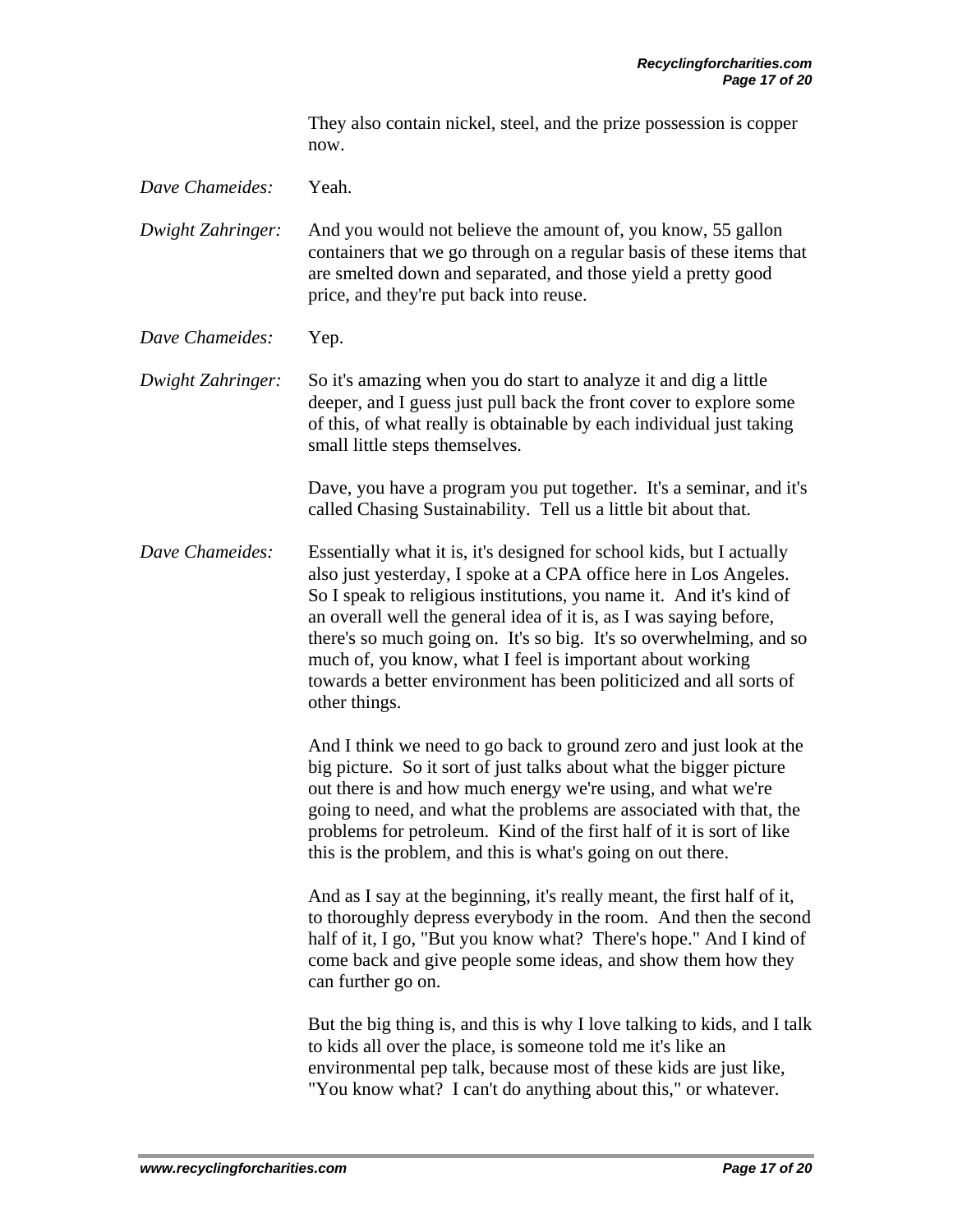They also contain nickel, steel, and the prize possession is copper now.

*Dave Chameides:* Yeah.

*Dwight Zahringer:* And you would not believe the amount of, you know, 55 gallon containers that we go through on a regular basis of these items that are smelted down and separated, and those yield a pretty good price, and they're put back into reuse.

*Dave Chameides:* Yep.

*Dwight Zahringer:* So it's amazing when you do start to analyze it and dig a little deeper, and I guess just pull back the front cover to explore some of this, of what really is obtainable by each individual just taking small little steps themselves.

> Dave, you have a program you put together. It's a seminar, and it's called Chasing Sustainability. Tell us a little bit about that.

*Dave Chameides:* Essentially what it is, it's designed for school kids, but I actually also just yesterday, I spoke at a CPA office here in Los Angeles. So I speak to religious institutions, you name it. And it's kind of an overall well the general idea of it is, as I was saying before, there's so much going on. It's so big. It's so overwhelming, and so much of, you know, what I feel is important about working towards a better environment has been politicized and all sorts of other things.

> And I think we need to go back to ground zero and just look at the big picture. So it sort of just talks about what the bigger picture out there is and how much energy we're using, and what we're going to need, and what the problems are associated with that, the problems for petroleum. Kind of the first half of it is sort of like this is the problem, and this is what's going on out there.

 And as I say at the beginning, it's really meant, the first half of it, to thoroughly depress everybody in the room. And then the second half of it, I go, "But you know what? There's hope." And I kind of come back and give people some ideas, and show them how they can further go on.

 But the big thing is, and this is why I love talking to kids, and I talk to kids all over the place, is someone told me it's like an environmental pep talk, because most of these kids are just like, "You know what? I can't do anything about this," or whatever.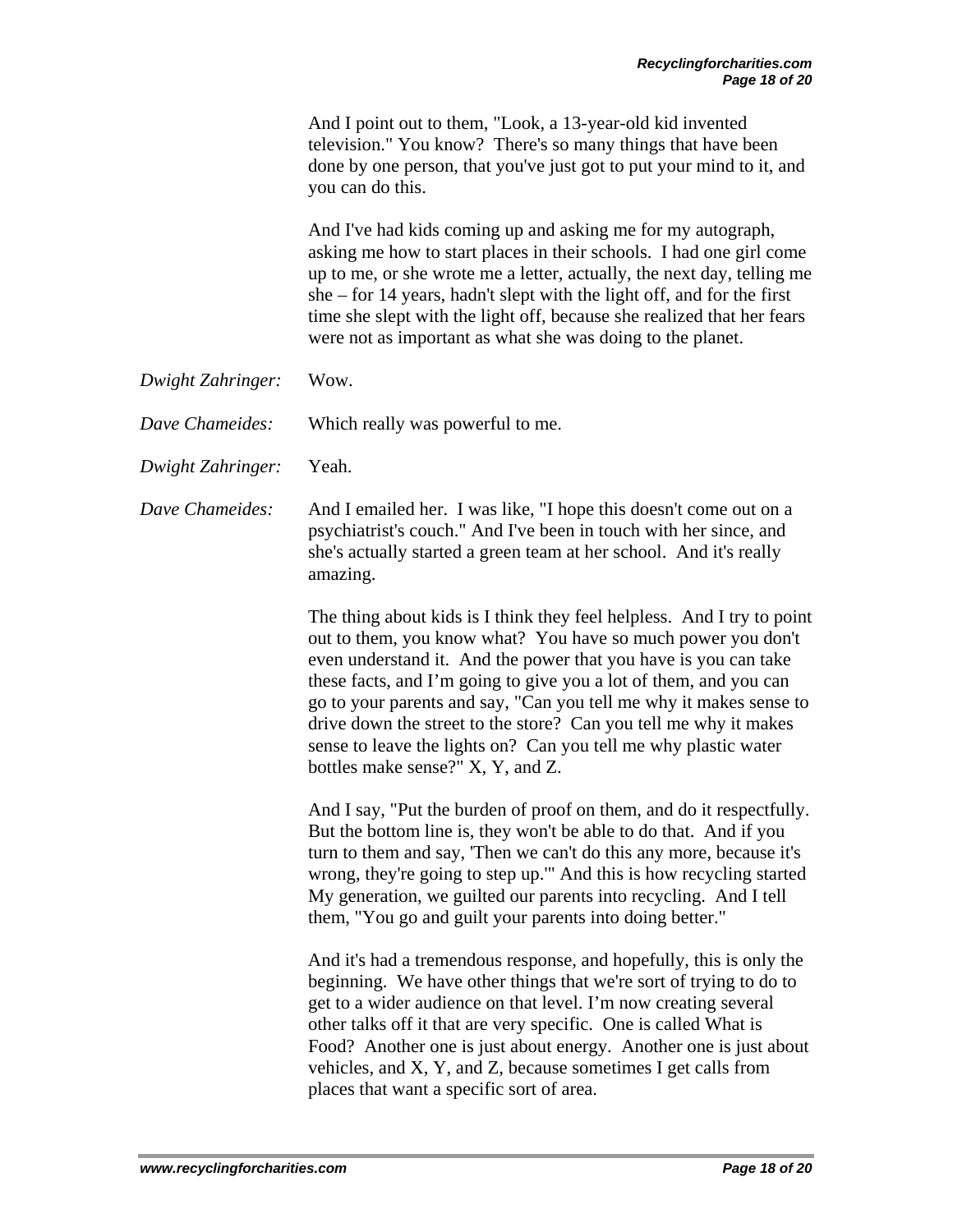|                   | And I point out to them, "Look, a 13-year-old kid invented<br>television." You know? There's so many things that have been<br>done by one person, that you've just got to put your mind to it, and<br>you can do this.                                                                                                                                                                                                                                                                                                           |
|-------------------|----------------------------------------------------------------------------------------------------------------------------------------------------------------------------------------------------------------------------------------------------------------------------------------------------------------------------------------------------------------------------------------------------------------------------------------------------------------------------------------------------------------------------------|
|                   | And I've had kids coming up and asking me for my autograph,<br>asking me how to start places in their schools. I had one girl come<br>up to me, or she wrote me a letter, actually, the next day, telling me<br>$she$ – for 14 years, hadn't slept with the light off, and for the first<br>time she slept with the light off, because she realized that her fears<br>were not as important as what she was doing to the planet.                                                                                                 |
| Dwight Zahringer: | Wow.                                                                                                                                                                                                                                                                                                                                                                                                                                                                                                                             |
| Dave Chameides:   | Which really was powerful to me.                                                                                                                                                                                                                                                                                                                                                                                                                                                                                                 |
| Dwight Zahringer: | Yeah.                                                                                                                                                                                                                                                                                                                                                                                                                                                                                                                            |
| Dave Chameides:   | And I emailed her. I was like, "I hope this doesn't come out on a<br>psychiatrist's couch." And I've been in touch with her since, and<br>she's actually started a green team at her school. And it's really<br>amazing.                                                                                                                                                                                                                                                                                                         |
|                   | The thing about kids is I think they feel helpless. And I try to point<br>out to them, you know what? You have so much power you don't<br>even understand it. And the power that you have is you can take<br>these facts, and I'm going to give you a lot of them, and you can<br>go to your parents and say, "Can you tell me why it makes sense to<br>drive down the street to the store? Can you tell me why it makes<br>sense to leave the lights on? Can you tell me why plastic water<br>bottles make sense?" X, Y, and Z. |
|                   | And I say, "Put the burden of proof on them, and do it respectfully.<br>But the bottom line is, they won't be able to do that. And if you<br>turn to them and say, 'Then we can't do this any more, because it's<br>wrong, they're going to step up." And this is how recycling started<br>My generation, we guilted our parents into recycling. And I tell<br>them, "You go and guilt your parents into doing better."                                                                                                          |
|                   | And it's had a tremendous response, and hopefully, this is only the<br>beginning. We have other things that we're sort of trying to do to<br>get to a wider audience on that level. I'm now creating several<br>other talks off it that are very specific. One is called What is<br>Food? Another one is just about energy. Another one is just about<br>vehicles, and X, Y, and Z, because sometimes I get calls from<br>places that want a specific sort of area.                                                              |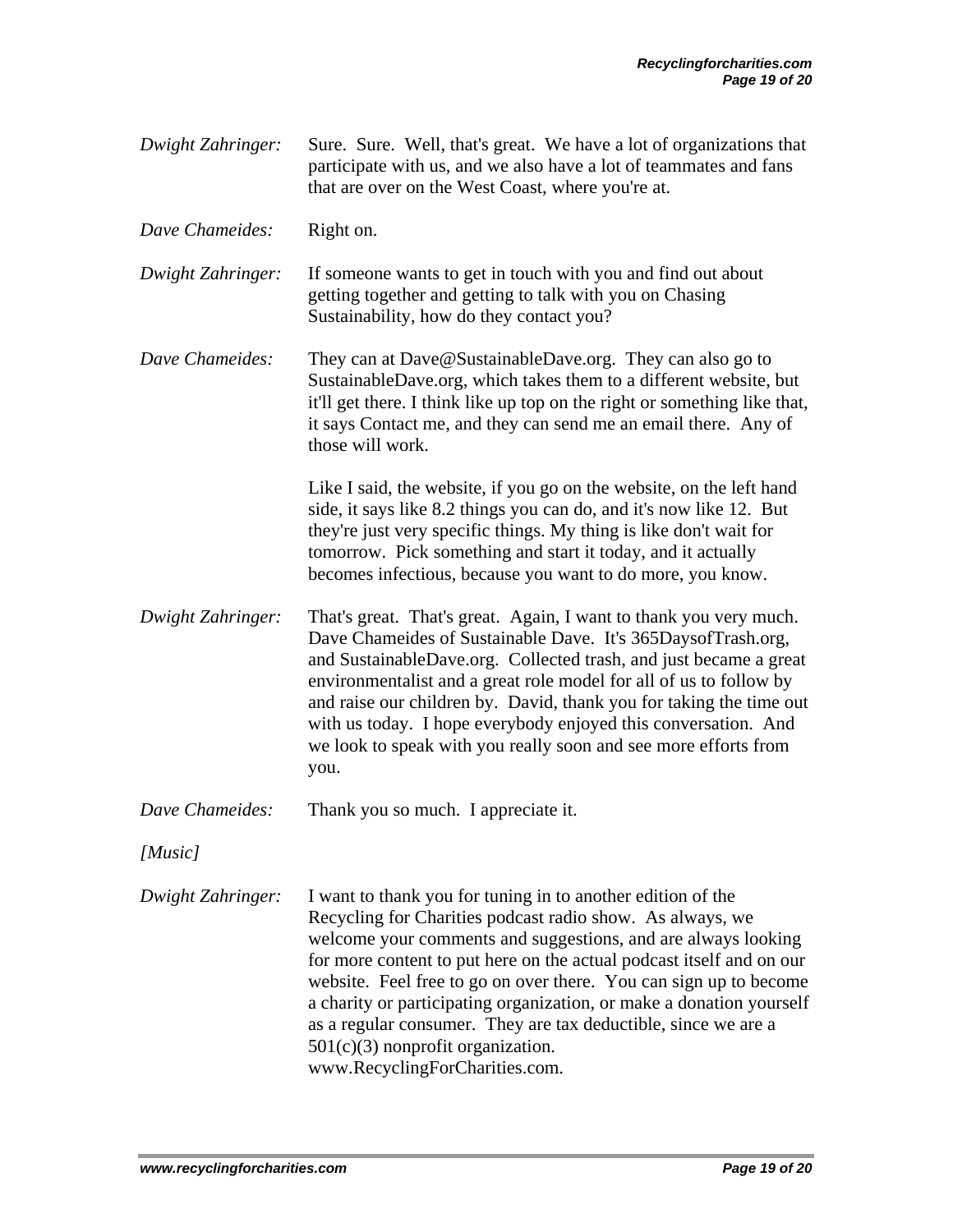- *Dwight Zahringer:* Sure. Sure. Well, that's great. We have a lot of organizations that participate with us, and we also have a lot of teammates and fans that are over on the West Coast, where you're at.
- *Dave Chameides:* Right on.
- *Dwight Zahringer:* If someone wants to get in touch with you and find out about getting together and getting to talk with you on Chasing Sustainability, how do they contact you?
- *Dave Chameides:* They can at Dave@SustainableDave.org. They can also go to SustainableDave.org, which takes them to a different website, but it'll get there. I think like up top on the right or something like that, it says Contact me, and they can send me an email there. Any of those will work.

 Like I said, the website, if you go on the website, on the left hand side, it says like 8.2 things you can do, and it's now like 12. But they're just very specific things. My thing is like don't wait for tomorrow. Pick something and start it today, and it actually becomes infectious, because you want to do more, you know.

- *Dwight Zahringer:* That's great. That's great. Again, I want to thank you very much. Dave Chameides of Sustainable Dave. It's 365DaysofTrash.org, and SustainableDave.org. Collected trash, and just became a great environmentalist and a great role model for all of us to follow by and raise our children by. David, thank you for taking the time out with us today. I hope everybody enjoyed this conversation. And we look to speak with you really soon and see more efforts from you.
- *Dave Chameides:* Thank you so much. I appreciate it.
- *[Music]*
- *Dwight Zahringer:* I want to thank you for tuning in to another edition of the Recycling for Charities podcast radio show. As always, we welcome your comments and suggestions, and are always looking for more content to put here on the actual podcast itself and on our website. Feel free to go on over there. You can sign up to become a charity or participating organization, or make a donation yourself as a regular consumer. They are tax deductible, since we are a 501(c)(3) nonprofit organization. www.RecyclingForCharities.com.